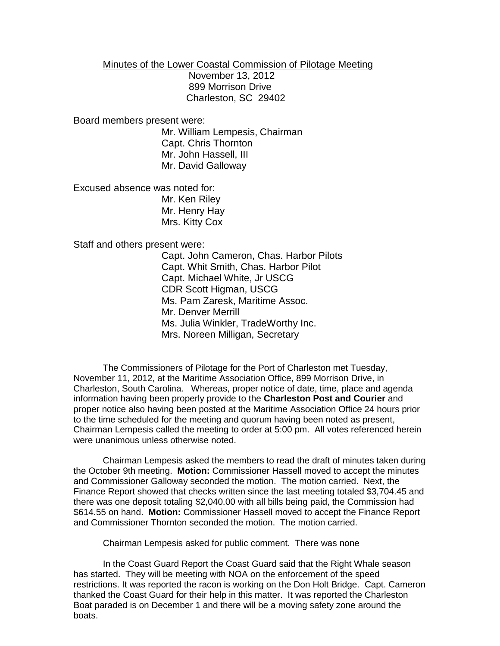Minutes of the Lower Coastal Commission of Pilotage Meeting

 November 13, 2012 899 Morrison Drive Charleston, SC 29402

Board members present were:

Mr. William Lempesis, Chairman Capt. Chris Thornton Mr. John Hassell, III Mr. David Galloway

Excused absence was noted for: Mr. Ken Riley Mr. Henry Hay

Mrs. Kitty Cox

Staff and others present were:

Capt. John Cameron, Chas. Harbor Pilots Capt. Whit Smith, Chas. Harbor Pilot Capt. Michael White, Jr USCG CDR Scott Higman, USCG Ms. Pam Zaresk, Maritime Assoc. Mr. Denver Merrill Ms. Julia Winkler, TradeWorthy Inc. Mrs. Noreen Milligan, Secretary

The Commissioners of Pilotage for the Port of Charleston met Tuesday, November 11, 2012, at the Maritime Association Office, 899 Morrison Drive, in Charleston, South Carolina. Whereas, proper notice of date, time, place and agenda information having been properly provide to the **Charleston Post and Courier** and proper notice also having been posted at the Maritime Association Office 24 hours prior to the time scheduled for the meeting and quorum having been noted as present, Chairman Lempesis called the meeting to order at 5:00 pm. All votes referenced herein were unanimous unless otherwise noted.

Chairman Lempesis asked the members to read the draft of minutes taken during the October 9th meeting. **Motion:** Commissioner Hassell moved to accept the minutes and Commissioner Galloway seconded the motion. The motion carried. Next, the Finance Report showed that checks written since the last meeting totaled \$3,704.45 and there was one deposit totaling \$2,040.00 with all bills being paid, the Commission had \$614.55 on hand. **Motion:** Commissioner Hassell moved to accept the Finance Report and Commissioner Thornton seconded the motion. The motion carried.

Chairman Lempesis asked for public comment. There was none

In the Coast Guard Report the Coast Guard said that the Right Whale season has started. They will be meeting with NOA on the enforcement of the speed restrictions. It was reported the racon is working on the Don Holt Bridge. Capt. Cameron thanked the Coast Guard for their help in this matter. It was reported the Charleston Boat paraded is on December 1 and there will be a moving safety zone around the boats.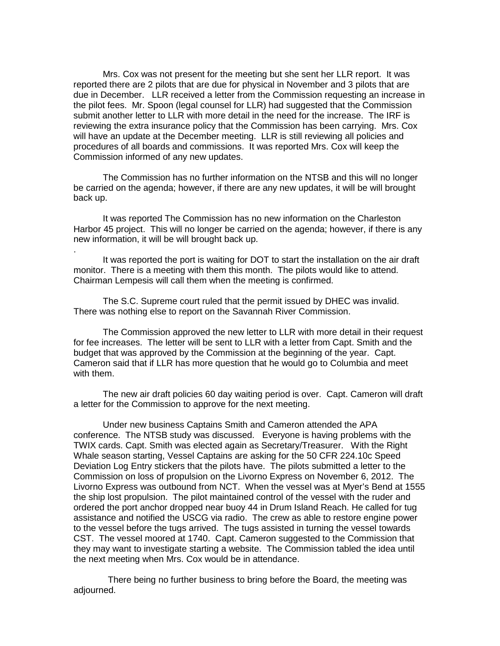Mrs. Cox was not present for the meeting but she sent her LLR report. It was reported there are 2 pilots that are due for physical in November and 3 pilots that are due in December. LLR received a letter from the Commission requesting an increase in the pilot fees. Mr. Spoon (legal counsel for LLR) had suggested that the Commission submit another letter to LLR with more detail in the need for the increase. The IRF is reviewing the extra insurance policy that the Commission has been carrying. Mrs. Cox will have an update at the December meeting. LLR is still reviewing all policies and procedures of all boards and commissions. It was reported Mrs. Cox will keep the Commission informed of any new updates.

The Commission has no further information on the NTSB and this will no longer be carried on the agenda; however, if there are any new updates, it will be will brought back up.

It was reported The Commission has no new information on the Charleston Harbor 45 project. This will no longer be carried on the agenda; however, if there is any new information, it will be will brought back up.

It was reported the port is waiting for DOT to start the installation on the air draft monitor. There is a meeting with them this month. The pilots would like to attend. Chairman Lempesis will call them when the meeting is confirmed.

The S.C. Supreme court ruled that the permit issued by DHEC was invalid. There was nothing else to report on the Savannah River Commission.

.

The Commission approved the new letter to LLR with more detail in their request for fee increases. The letter will be sent to LLR with a letter from Capt. Smith and the budget that was approved by the Commission at the beginning of the year. Capt. Cameron said that if LLR has more question that he would go to Columbia and meet with them.

The new air draft policies 60 day waiting period is over. Capt. Cameron will draft a letter for the Commission to approve for the next meeting.

Under new business Captains Smith and Cameron attended the APA conference. The NTSB study was discussed. Everyone is having problems with the TWIX cards. Capt. Smith was elected again as Secretary/Treasurer. With the Right Whale season starting, Vessel Captains are asking for the 50 CFR 224.10c Speed Deviation Log Entry stickers that the pilots have. The pilots submitted a letter to the Commission on loss of propulsion on the Livorno Express on November 6, 2012. The Livorno Express was outbound from NCT. When the vessel was at Myer's Bend at 1555 the ship lost propulsion. The pilot maintained control of the vessel with the ruder and ordered the port anchor dropped near buoy 44 in Drum Island Reach. He called for tug assistance and notified the USCG via radio. The crew as able to restore engine power to the vessel before the tugs arrived. The tugs assisted in turning the vessel towards CST. The vessel moored at 1740. Capt. Cameron suggested to the Commission that they may want to investigate starting a website. The Commission tabled the idea until the next meeting when Mrs. Cox would be in attendance.

There being no further business to bring before the Board, the meeting was adjourned.